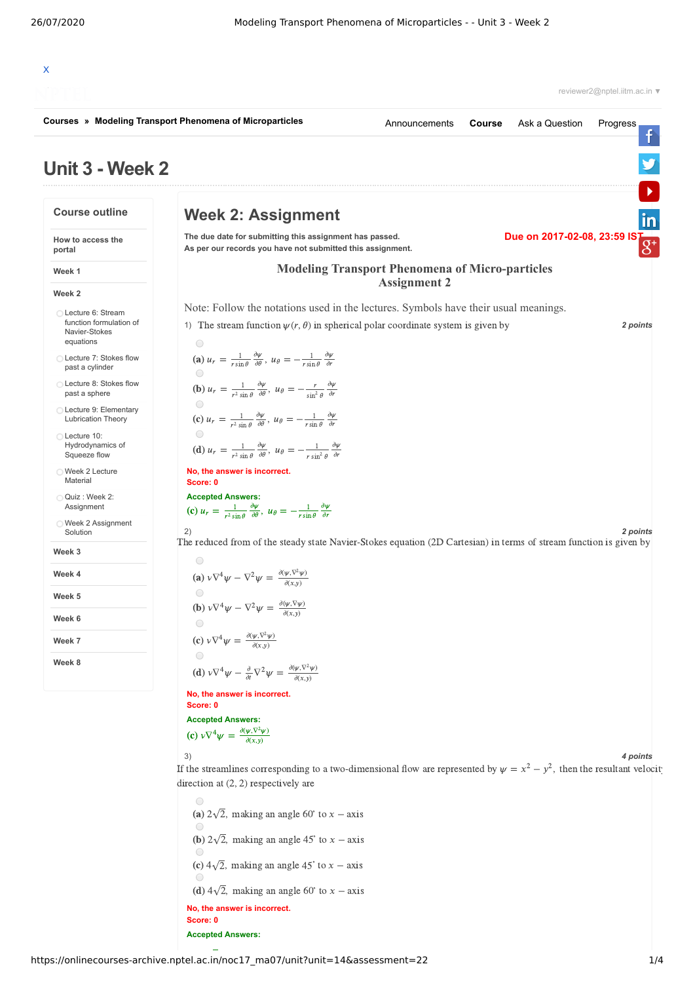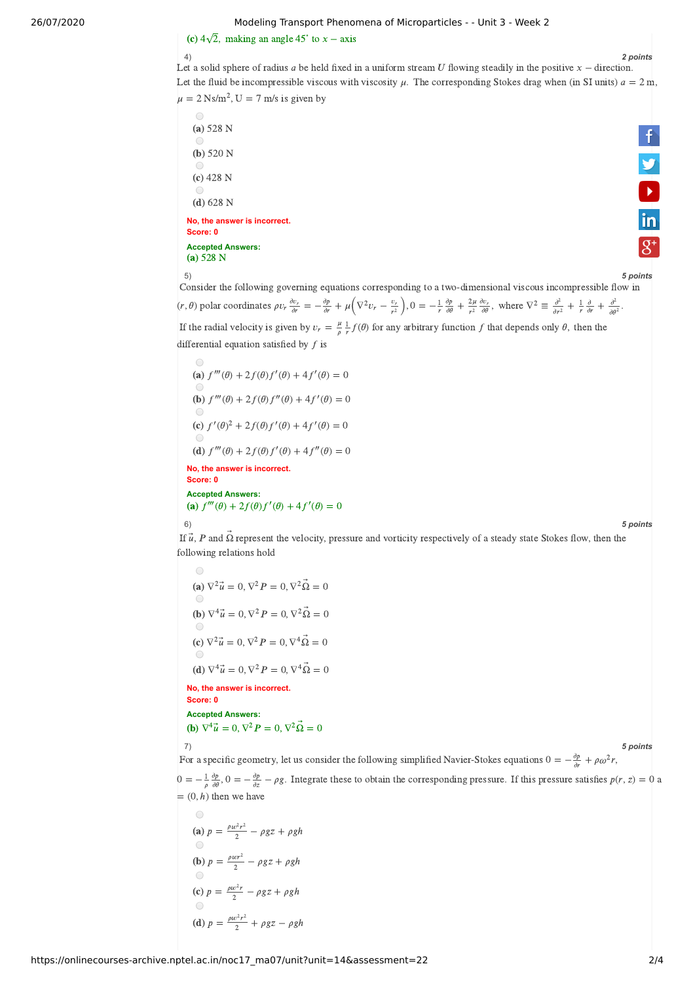### 26/07/2020 Modeling Transport Phenomena of Microparticles - - Unit 3 - Week 2

# Modeling Transport Phenon<br>(c)  $4\sqrt{2}$ , making an angle 45° to  $x - axis$

# 4) *2 points*

**V**<br>in

 $\overline{g^*}$ 

Let a solid sphere of radius *a* be held fixed in a uniform stream  $U$  flowing steadily in the positive  $x -$  direction. Let the fluid be incompressible viscous with viscosity  $\mu$ . The corresponding Stokes drag when (in SI units)  $a = 2$  m,  $\mu = 2 \text{ Ns/m}^2$ , U = 7 m/s is given by

 $\bigcirc$  $(a) 528 N$  $(b)$  520 N  $\bigcap$  $(c)$  428 N  $\bigcirc$  $(d) 628 N$ 

**No, the answer is incorrect. Score: 0 Accepted Answers:** (a)  $528 N$ 



5) *5 points* Consider the following governing equations corresponding to a two-dimensional viscous incompressible flow in  $(r, \theta)$  polar coordinates  $\rho v_r \frac{\partial v_r}{\partial r} = -\frac{\partial p}{\partial r} + \mu \left( \nabla^2 v_r - \frac{v_r}{r^2} \right), 0 = -\frac{1}{r} \frac{\partial p}{\partial \theta} + \frac{2\mu}{r^2} \frac{\partial v_r}{\partial \theta}, \text{ where } \nabla^2 \equiv \frac{\partial^2}{\partial r^2} + \frac{1}{r} \frac{\partial}{\partial r} + \frac{\partial^2}{\partial \theta^2}.$  $\frac{\partial p}{\partial r} + \mu \left( \nabla^2 v_r - \frac{v_r}{r^2} \right)$  $\frac{v_r}{r^2}$ , 0 =  $-\frac{1}{r}$ ∂  $rac{\partial p}{\partial \theta} + \frac{2\mu}{r^2}$  $rac{2\mu}{r^2} \frac{\partial v_r}{\partial \theta}$ , where  $\nabla^2 \equiv \frac{\partial^2}{\partial r^2}$  $\frac{\partial^2}{\partial r^2} + \frac{1}{r}$  $rac{\partial}{\partial r} + \frac{\partial^2}{\partial \theta^2}$  $\partial \theta^2$ If the radial velocity is given by  $v_r = \frac{\mu}{\rho} \frac{1}{r} f(\theta)$  for any arbitrary function f that depends only  $\theta$ , then the  $\frac{\mu}{\rho}$   $\frac{1}{r}$ . differential equation satisfied by  $f$  is

(a) 
$$
f'''(\theta) + 2f(\theta)f'(\theta) + 4f'(\theta) = 0
$$
  
\n(b)  $f'''(\theta) + 2f(\theta)f''(\theta) + 4f'(\theta) = 0$   
\n(c)  $f'(\theta)^2 + 2f(\theta)f'(\theta) + 4f'(\theta) = 0$   
\n(d)  $f'''(\theta) + 2f(\theta)f'(\theta) + 4f''(\theta) = 0$   
\n**No, the answer is incorrect.**  
\nScore: 0  
\nAccepted Answers:  
\n(a)  $f'''(\theta) + 2f(\theta)f'(\theta) + 4f'(\theta) = 0$ 

6) *5 points*

 $I$  (6)<br>
If  $\vec{u}$ , *P* and  $\vec{\Omega}$  represent the velocity, pressure and vorticity respectively of a steady state Stokes flow, then the following relations hold

**No, the answer is incorrect. Score: 0** (a)  $\nabla^2 \vec{u} = 0$ ,  $\nabla^2 P = 0$ ,  $\nabla^2 \vec{\Omega} = 0$ (a)  $\sqrt{u} = 0, \sqrt{P} = 0, \sqrt{Q} = 0$ <br>
(b)  $\nabla^4 \vec{u} = 0, \nabla^2 P = 0, \nabla^2 \vec{\Omega} = 0$ (**b**)  $\nabla^4 \vec{u} = 0$ ,  $\nabla^2 P = 0$ ,  $\nabla^2 \Omega = 0$ <br>
(**c**)  $\nabla^2 \vec{u} = 0$ ,  $\nabla^2 P = 0$ ,  $\nabla^4 \vec{\Omega} = 0$ (c)  $\nabla^2 u = 0$ ,  $\nabla^2 P = 0$ ,  $\nabla^4 \Omega = 0$ <br>
(d)  $\nabla^4 \vec{u} = 0$ ,  $\nabla^2 P = 0$ ,  $\nabla^4 \vec{\Omega} = 0$ 

**Accepted Answers:** Score: 0 $\textsf{Accepted Answers:} \ \textbf{(b)} \; \nabla^4 \vec{u} = 0, \nabla^2 P = 0, \nabla^2 \vec{\Omega} = 0$ 

⃗

## 7) *5 points*

For a specific geometry, let us consider the following simplified Navier-Stokes equations  $0 = -\frac{\partial p}{\partial r} + \rho \omega^2 r$ ,

 $0 = -\frac{1}{\rho} \frac{\partial p}{\partial \theta}$ ,  $0 = -\frac{\partial p}{\partial z} - \rho g$ . Integrate these to obtain the corresponding pressure. If this pressure satisfies  $p(r, z) = 0$  a ∂ ∂ ∂ ∂  $= (0, h)$  then we have

(a) 
$$
p = \frac{\rho w^2 r^2}{2} - \rho g z + \rho g h
$$
  
\n(b)  $p = \frac{\rho w r^2}{2} - \rho g z + \rho g h$   
\n(c)  $p = \frac{\rho w^2 r}{2} - \rho g z + \rho g h$   
\n(d)  $p = \frac{\rho w^2 r^2}{2} + \rho g z - \rho g h$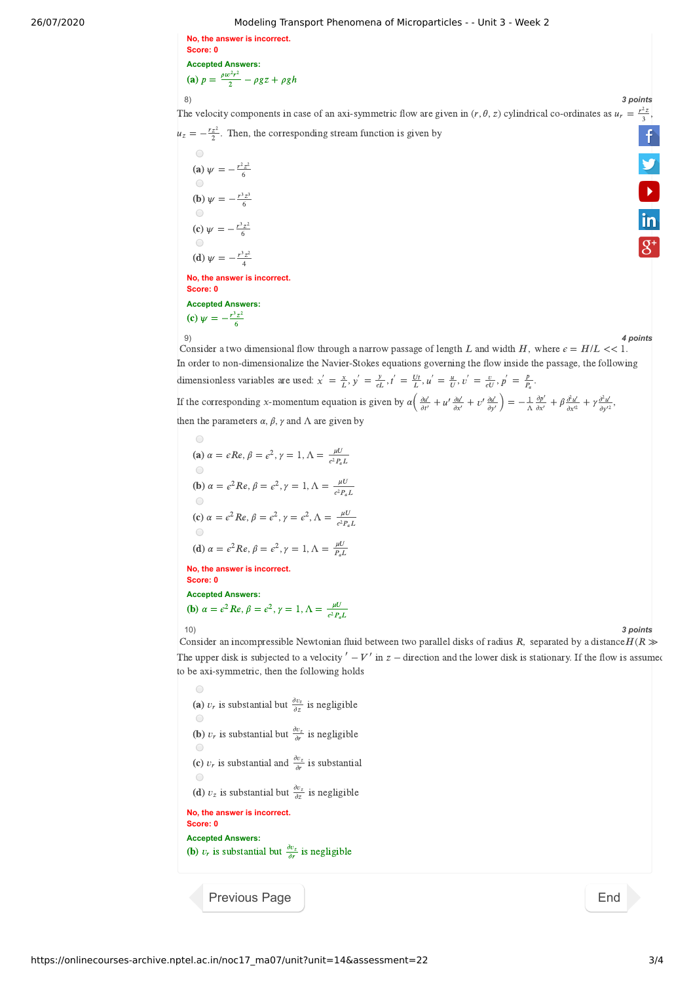26/07/2020 Modeling Transport Phenomena of Microparticles - - Unit 3 - Week 2

**No, the answer is incorrect. Score: 0 Accepted Answers:** (a)  $p = \frac{\rho w^2 r^2}{2} - \rho g z + \rho g h$ 2

8) *3 points*  $\frac{r^2z}{3}$  $\frac{r^2z}{3}$  $\frac{r^2z}{3}$ The velocity components in case of an axi-symmetric flow are given in  $(r, \theta, z)$  cylindrical co-ordinates as  $u_r$  $\ddot{\mathsf{f}}$  $u_z = -\frac{r_z^2}{2}$ . Then, the corresponding stream function is given by

**No, the answer is incorrect. Score: 0 Accepted Answers:** (a)  $\psi = -\frac{r^2 z^2}{6}$ (**b**)  $\psi = -\frac{r^3 z^3}{6}$ (c)  $\psi = -\frac{r^3 z^2}{6}$ (d)  $\psi = -\frac{r^3 z^2}{4}$ 4 (c)  $\psi = -\frac{r^3 z^2}{6}$ 6

9) *4 points*

9) 4 points<br>Consider a two dimensional flow through a narrow passage of length L and width H, where  $\epsilon = H/L \ll 1$ . In order to non-dimensionalize the Navier-Stokes equations governing the flow inside the passage, the following dimensionless variables are used:  $x' = \frac{x}{L}$ ,  $y' = \frac{y}{\epsilon L}$ ,  $t' = \frac{Ut}{L}$ ,  $u' = \frac{u}{U}$ ,  $v' = \frac{v}{\epsilon U}$ ,  $p' = \frac{p}{P_a}$ .  $\frac{y}{\epsilon L}$ ,  $t' = \frac{Ut}{L}$ ,  $u' = \frac{u}{U}$ ,  $v' = \frac{v}{\epsilon U}$ ,  $p' = \frac{p}{P_a}$  $P_a$ 

If the corresponding x-momentum equation is given by  $\alpha \left( \frac{\partial u'}{\partial t'} + u' \frac{\partial u'}{\partial x'} + v' \frac{\partial u'}{\partial y'} \right) = -\frac{1}{\Delta} \frac{\partial p'}{\partial x'} + \beta \frac{\partial^2 u'}{\partial x'^2} + \gamma \frac{\partial^2 u'}{\partial y'^2}$  $\frac{\partial u'}{\partial t'} + u' \frac{\partial u'}{\partial x'} + v' \frac{\partial u'}{\partial y'}$  $\frac{\partial u'}{\partial y'}\Big) = -\frac{1}{\Lambda} \frac{\partial p'}{\partial x'}$  $\frac{\partial p'}{\partial x'} + \beta \frac{\partial^2 u'}{\partial x'^2}$  $\partial x^{\prime 2}$  $\partial^2 u'$  $\partial y'^2$ 

then the parameters  $\alpha$ ,  $\beta$ ,  $\gamma$  and  $\Lambda$  are given by

**No, the answer is incorrect.** (a)  $\alpha = \epsilon Re, \beta = \epsilon^2, \gamma = 1, \Lambda = \frac{\mu U}{\epsilon^2 R}$  $\epsilon^2 P_a L$ **(b)**  $\alpha = \epsilon^2 Re, \beta = \epsilon^2, \gamma = 1, \Lambda = \frac{\mu U}{\epsilon^2 B}$  $\epsilon^2 P_a L$ (c)  $\alpha = \epsilon^2 Re, \beta = \epsilon^2, \gamma = \epsilon^2, \Lambda = \frac{\mu U}{\epsilon^2 P_a L}$ (d)  $\alpha = \epsilon^2 Re, \beta = \epsilon^2, \gamma = 1, \Lambda = \frac{\mu U}{P_a L}$ 

**Score: 0**

**Accepted Answers:**

**(b)** 
$$
\alpha = \epsilon^2 Re, \beta = \epsilon^2, \gamma = 1, \Lambda = \frac{\mu U}{\epsilon^2 P_a L}
$$

Consider an incompressible Newtonian fluid between two parallel disks of radius R, separated by a distance  $H(R \gg$ The upper disk is subjected to a velocity  $' - V'$  in  $z -$  direction and the lower disk is stationary. If the flow is assumed to be axi-symmetric, then the following holds

 $\bigcirc$ (a)  $v_r$  is substantial but  $\frac{\partial v_z}{\partial z}$  is negligible (**b**)  $v_r$  is substantial but  $\frac{\partial v_z}{\partial r}$  is negligible (c)  $v_r$  is substantial and  $\frac{\partial v_z}{\partial r}$  is substantial  $\bigcap$ (**d**)  $v_z$  is substantial but  $\frac{\partial v_z}{\partial z}$  is negligible **No, the answer is incorrect. Score: 0 Accepted Answers:** (**b**)  $v_r$  is substantial but  $\frac{\partial v_z}{\partial r}$  is negligible

[Previous Page](https://onlinecourses-archive.nptel.ac.in/noc17_ma07/unit?unit=14&lesson=44) [End](https://onlinecourses-archive.nptel.ac.in/noc17_ma07/course)